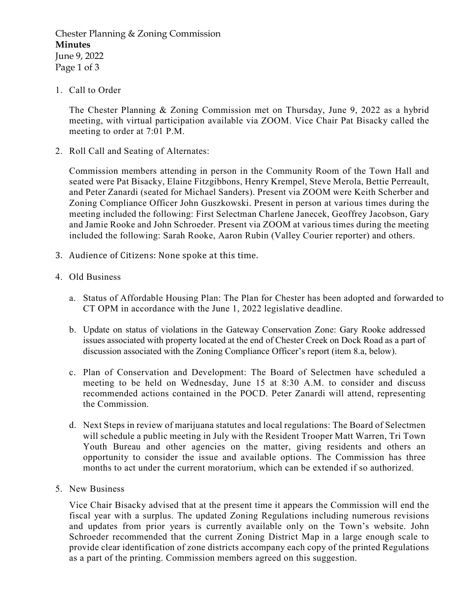Chester Planning & Zoning Commission Minutes June 9, 2022 Page 1 of 3

1. Call to Order

The Chester Planning & Zoning Commission met on Thursday, June 9, 2022 as a hybrid meeting, with virtual participation available via ZOOM. Vice Chair Pat Bisacky called the meeting to order at 7:01 P.M.

2. Roll Call and Seating of Alternates:

Commission members attending in person in the Community Room of the Town Hall and seated were Pat Bisacky, Elaine Fitzgibbons, Henry Krempel, Steve Merola, Bettie Perreault, and Peter Zanardi (seated for Michael Sanders). Present via ZOOM were Keith Scherber and Zoning Compliance Officer John Guszkowski. Present in person at various times during the meeting included the following: First Selectman Charlene Janecek, Geoffrey Jacobson, Gary and Jamie Rooke and John Schroeder. Present via ZOOM at various times during the meeting included the following: Sarah Rooke, Aaron Rubin (Valley Courier reporter) and others.

- 3. Audience of Citizens: None spoke at this time.
- 4. Old Business
	- a. Status of Affordable Housing Plan: The Plan for Chester has been adopted and forwarded to CT OPM in accordance with the June 1, 2022 legislative deadline.
	- b. Update on status of violations in the Gateway Conservation Zone: Gary Rooke addressed issues associated with property located at the end of Chester Creek on Dock Road as a part of discussion associated with the Zoning Compliance Officer's report (item 8.a, below).
	- c. Plan of Conservation and Development: The Board of Selectmen have scheduled a meeting to be held on Wednesday, June 15 at 8:30 A.M. to consider and discuss recommended actions contained in the POCD. Peter Zanardi will attend, representing the Commission.
	- d. Next Steps in review of marijuana statutes and local regulations: The Board of Selectmen will schedule a public meeting in July with the Resident Trooper Matt Warren, Tri Town Youth Bureau and other agencies on the matter, giving residents and others an opportunity to consider the issue and available options. The Commission has three months to act under the current moratorium, which can be extended if so authorized.
- 5. New Business

Vice Chair Bisacky advised that at the present time it appears the Commission will end the fiscal year with a surplus. The updated Zoning Regulations including numerous revisions and updates from prior years is currently available only on the Town's website. John Schroeder recommended that the current Zoning District Map in a large enough scale to provide clear identification of zone districts accompany each copy of the printed Regulations as a part of the printing. Commission members agreed on this suggestion.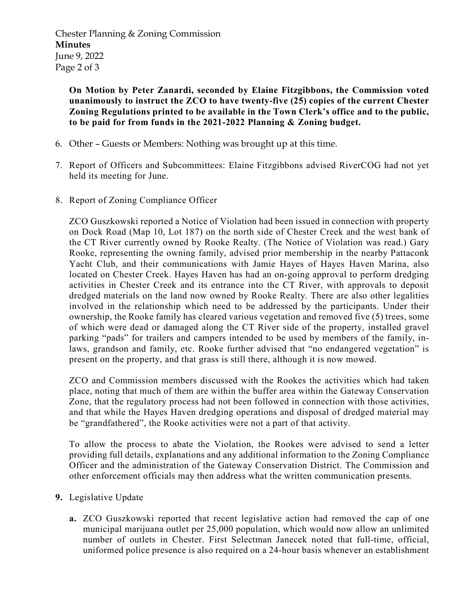Chester Planning & Zoning Commission Minutes June 9, 2022 Page 2 of 3

On Motion by Peter Zanardi, seconded by Elaine Fitzgibbons, the Commission voted unanimously to instruct the ZCO to have twenty-five (25) copies of the current Chester Zoning Regulations printed to be available in the Town Clerk's office and to the public, to be paid for from funds in the 2021-2022 Planning & Zoning budget.

- 6. Other Guests or Members: Nothing was brought up at this time.
- 7. Report of Officers and Subcommittees: Elaine Fitzgibbons advised RiverCOG had not yet held its meeting for June.
- 8. Report of Zoning Compliance Officer

ZCO Guszkowski reported a Notice of Violation had been issued in connection with property on Dock Road (Map 10, Lot 187) on the north side of Chester Creek and the west bank of the CT River currently owned by Rooke Realty. (The Notice of Violation was read.) Gary Rooke, representing the owning family, advised prior membership in the nearby Pattaconk Yacht Club, and their communications with Jamie Hayes of Hayes Haven Marina, also located on Chester Creek. Hayes Haven has had an on-going approval to perform dredging activities in Chester Creek and its entrance into the CT River, with approvals to deposit dredged materials on the land now owned by Rooke Realty. There are also other legalities involved in the relationship which need to be addressed by the participants. Under their ownership, the Rooke family has cleared various vegetation and removed five (5) trees, some of which were dead or damaged along the CT River side of the property, installed gravel parking "pads" for trailers and campers intended to be used by members of the family, inlaws, grandson and family, etc. Rooke further advised that "no endangered vegetation" is present on the property, and that grass is still there, although it is now mowed.

ZCO and Commission members discussed with the Rookes the activities which had taken place, noting that much of them are within the buffer area within the Gateway Conservation Zone, that the regulatory process had not been followed in connection with those activities, and that while the Hayes Haven dredging operations and disposal of dredged material may be "grandfathered", the Rooke activities were not a part of that activity.

To allow the process to abate the Violation, the Rookes were advised to send a letter providing full details, explanations and any additional information to the Zoning Compliance Officer and the administration of the Gateway Conservation District. The Commission and other enforcement officials may then address what the written communication presents.

- 9. Legislative Update
	- a. ZCO Guszkowski reported that recent legislative action had removed the cap of one municipal marijuana outlet per 25,000 population, which would now allow an unlimited number of outlets in Chester. First Selectman Janecek noted that full-time, official, uniformed police presence is also required on a 24-hour basis whenever an establishment